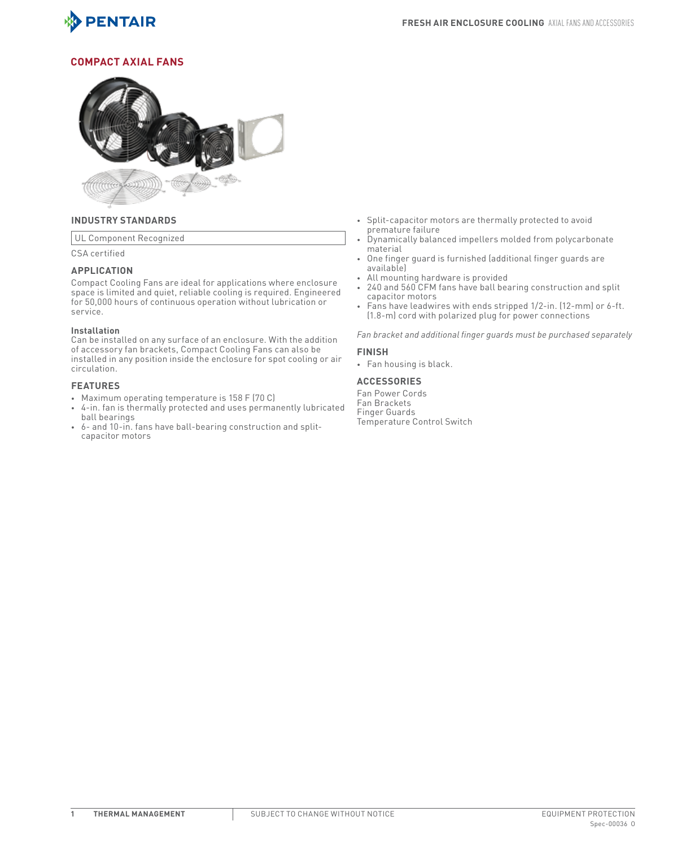

## **COMPACT AXIAL FANS**



## **INDUSTRY STANDARDS**

UL Component Recognized

CSA certified

## **APPLICATION**

Compact Cooling Fans are ideal for applications where enclosure space is limited and quiet, reliable cooling is required. Engineered for 50,000 hours of continuous operation without lubrication or service.

### **Installation**

Can be installed on any surface of an enclosure. With the addition of accessory fan brackets, Compact Cooling Fans can also be installed in any position inside the enclosure for spot cooling or air circulation.

## **FEATURES**

- Maximum operating temperature is 158 F (70 C)
- 4-in. fan is thermally protected and uses permanently lubricated ball bearings
- 6- and 10-in. fans have ball-bearing construction and splitcapacitor motors
- Split-capacitor motors are thermally protected to avoid premature failure
- Dynamically balanced impellers molded from polycarbonate material
- One finger guard is furnished (additional finger guards are available)
- All mounting hardware is provided
- 240 and 560 CFM fans have ball bearing construction and split capacitor motors
- Fans have leadwires with ends stripped 1/2-in. (12-mm) or 6-ft. (1.8-m) cord with polarized plug for power connections

*Fan bracket and additional finger guards must be purchased separately*

## **FINISH**

• Fan housing is black.

## **ACCESSORIES**

Fan Power Cords Fan Brackets Finger Guards Temperature Control Switch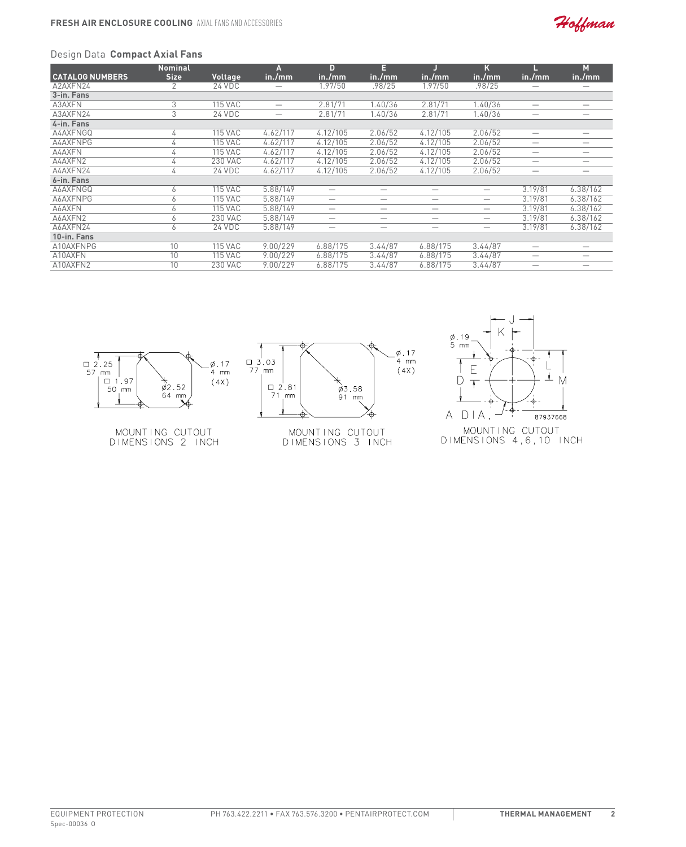

# Design Data **Compact Axial Fans**

|                        | <b>Nominal</b> |                | Α                        | n                        | Е       |                          | κ                        |                          | М        |
|------------------------|----------------|----------------|--------------------------|--------------------------|---------|--------------------------|--------------------------|--------------------------|----------|
| <b>CATALOG NUMBERS</b> | <b>Size</b>    | Voltage        | in./mm                   | in./mm                   | in./mm  | in./mm                   | in./mm                   | in./mm                   | in./mm   |
| A2AXFN24               |                | 24 VDC         | _                        | 1.97/50                  | .98/25  | 1.97/50                  | .98/25                   | –                        | -        |
| 3-in. Fans             |                |                |                          |                          |         |                          |                          |                          |          |
| A3AXFN                 | 3              | <b>115 VAC</b> | $\overline{\phantom{0}}$ | 2.81/71                  | 1.40/36 | 2.81/71                  | 1.40/36                  | -                        | -        |
| A3AXFN24               | 3              | 24 VDC         |                          | 2.81/71                  | 1.40/36 | 2.81/71                  | 1.40/36                  | $\overline{\phantom{m}}$ | –        |
| 4-in. Fans             |                |                |                          |                          |         |                          |                          |                          |          |
| A4AXFNGQ               | 4              | <b>115 VAC</b> | 4.62/117                 | 4.12/105                 | 2.06/52 | 4.12/105                 | 2.06/52                  |                          | -        |
| A4AXFNPG               | 4              | <b>115 VAC</b> | 4.62/117                 | 4.12/105                 | 2.06/52 | 4.12/105                 | 2.06/52                  |                          |          |
| A4AXFN                 | 4              | <b>115 VAC</b> | 4.62/117                 | 4.12/105                 | 2.06/52 | 4.12/105                 | 2.06/52                  | -                        | -        |
| A4AXFN2                | 4              | 230 VAC        | 4.62/117                 | 4.12/105                 | 2.06/52 | 4.12/105                 | 2.06/52                  |                          |          |
| A4AXFN24               | 4              | 24 VDC         | 4.62/117                 | 4.12/105                 | 2.06/52 | 4.12/105                 | 2.06/52                  |                          |          |
| 6-in. Fans             |                |                |                          |                          |         |                          |                          |                          |          |
| A6AXFNGQ               | 6              | <b>115 VAC</b> | 5.88/149                 | -                        | –       |                          |                          | 3.19/81                  | 6.38/162 |
| A6AXFNPG               | 6              | <b>115 VAC</b> | 5.88/149                 | -                        | -       | $\overline{\phantom{0}}$ |                          | 3.19/81                  | 6.38/162 |
| A6AXFN                 | 6              | <b>115 VAC</b> | 5.88/149                 | $\overline{\phantom{m}}$ | —       |                          | $\overline{\phantom{a}}$ | 3.19/81                  | 6.38/162 |
| A6AXFN2                | 6              | 230 VAC        | 5.88/149                 | -                        | -       | -                        |                          | 3.19/81                  | 6.38/162 |
| A6AXFN24               | 6              | 24 VDC         | 5.88/149                 | $\overline{\phantom{m}}$ | –       |                          | $\overline{\phantom{a}}$ | 3.19/81                  | 6.38/162 |
| 10-in. Fans            |                |                |                          |                          |         |                          |                          |                          |          |
| A10AXFNPG              | 10             | <b>115 VAC</b> | 9.00/229                 | 6.88/175                 | 3.44/87 | 6.88/175                 | 3.44/87                  | -                        |          |
| A10AXFN                | 10             | <b>115 VAC</b> | 9.00/229                 | 6.88/175                 | 3.44/87 | 6.88/175                 | 3.44/87                  |                          |          |
| A10AXFN2               | 10             | 230 VAC        | 9.00/229                 | 6.88/175                 | 3.44/87 | 6.88/175                 | 3.44/87                  | -                        |          |



MOUNTING CUTOUT<br>DIMENSIONS 2 INCH



MOUNTING CUTOUT<br>DIMENSIONS 3 INCH



Spec-00036 O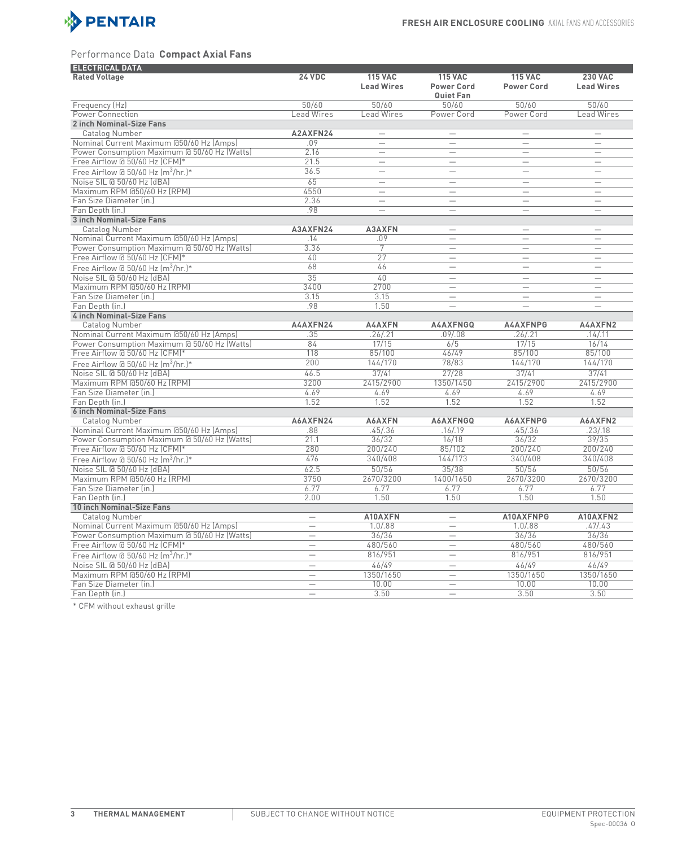

## Performance Data **Compact Axial Fans**

| <b>ELECTRICAL DATA</b>                       |                          |                          |                          |                          |                          |
|----------------------------------------------|--------------------------|--------------------------|--------------------------|--------------------------|--------------------------|
| <b>Rated Voltage</b>                         | <b>24 VDC</b>            | <b>115 VAC</b>           | <b>115 VAC</b>           | <b>115 VAC</b>           | <b>230 VAC</b>           |
|                                              |                          | <b>Lead Wires</b>        | <b>Power Cord</b>        | <b>Power Cord</b>        | <b>Lead Wires</b>        |
|                                              |                          |                          | Quiet Fan                |                          |                          |
| Frequency (Hz)                               | 50/60                    | 50/60                    | 50/60                    | 50/60                    | 50/60                    |
| Power Connection                             | <b>Lead Wires</b>        | <b>Lead Wires</b>        | Power Cord               | Power Cord               | Lead Wires               |
| 2 inch Nominal-Size Fans                     |                          |                          |                          |                          |                          |
| Catalog Number                               | A2AXFN24                 | $\overline{\phantom{0}}$ | $\overline{\phantom{0}}$ | $\overline{\phantom{0}}$ | $\overline{\phantom{0}}$ |
| Nominal Current Maximum @50/60 Hz (Amps)     | .09                      |                          |                          |                          | $\qquad \qquad$          |
| Power Consumption Maximum @ 50/60 Hz (Watts) | 2.16                     | $\overline{\phantom{0}}$ | $\overline{\phantom{0}}$ | $\overline{\phantom{0}}$ | $\equiv$                 |
| Free Airflow @ 50/60 Hz (CFM)*               | 21.5                     | $\overline{\phantom{0}}$ | $\overline{\phantom{0}}$ |                          |                          |
|                                              | 36.5                     |                          | $\overline{\phantom{0}}$ | $\overline{\phantom{0}}$ | $\equiv$                 |
| Free Airflow @ 50/60 Hz $\rm [m^3/hr.]$ *    | 65                       |                          |                          |                          |                          |
| Noise SIL @ 50/60 Hz (dBA)                   |                          | $\overline{\phantom{0}}$ | $\overline{\phantom{0}}$ | $\overline{\phantom{0}}$ | $\overline{\phantom{0}}$ |
| Maximum RPM @50/60 Hz (RPM)                  | 4550                     | $\overline{\phantom{0}}$ | $\overline{\phantom{0}}$ | $\overline{\phantom{0}}$ | $\equiv$                 |
| Fan Size Diameter (in.)                      | 2.36                     |                          | $\qquad \qquad -$        | $\equiv$                 | $\equiv$                 |
| Fan Depth (in.)                              | .98                      | $\overline{\phantom{0}}$ | $\overline{\phantom{0}}$ | $\overline{\phantom{0}}$ |                          |
| 3 inch Nominal-Size Fans                     |                          |                          |                          |                          |                          |
| Catalog Number                               | A3AXFN24                 | A3AXFN                   | $\overline{\phantom{0}}$ | $\qquad \qquad$          | $\equiv$                 |
| Nominal Current Maximum @50/60 Hz (Amps)     | .14                      | .09                      | $\overline{\phantom{0}}$ | $\overline{\phantom{0}}$ |                          |
| Power Consumption Maximum @ 50/60 Hz (Watts) | 3.36                     | 7                        | $\qquad \qquad -$        | $\equiv$                 | $\equiv$                 |
| Free Airflow @ 50/60 Hz (CFM)*               | 40                       | $\overline{27}$          | $\qquad \qquad$          | $\qquad \qquad$          | $\qquad \qquad$          |
| Free Airflow @ 50/60 Hz $\rm [m^3/hr.]^*$    | 68                       | 46                       | $\overline{\phantom{0}}$ | $\overline{\phantom{0}}$ | $\overline{\phantom{0}}$ |
| Noise SIL @ 50/60 Hz (dBA)                   | 35                       | 40                       |                          |                          | $\qquad \qquad$          |
| Maximum RPM @50/60 Hz (RPM)                  | 3400                     | 2700                     | $\overline{\phantom{0}}$ |                          |                          |
| Fan Size Diameter (in.)                      | 3.15                     | 3.15                     | $\overline{\phantom{0}}$ | $\qquad \qquad$          | $\qquad \qquad$          |
| Fan Depth (in.)                              | .98                      | 1.50                     | $\overline{\phantom{0}}$ | $\overline{\phantom{0}}$ | $\overline{\phantom{0}}$ |
| 4 inch Nominal-Size Fans                     |                          |                          |                          |                          |                          |
| <b>Catalog Number</b>                        | A4AXFN24                 | <b>A4AXFN</b>            | A4AXFNGQ                 | <b>A4AXFNPG</b>          | A4AXFN2                  |
| Nominal Current Maximum @50/60 Hz (Amps)     | .35                      | .26 / .21                | .09/.08                  | .26 / .21                | .14/.11                  |
| Power Consumption Maximum @ 50/60 Hz (Watts) | 84                       | 17/15                    | 6/5                      | 17/15                    | 16/14                    |
| Free Airflow @ 50/60 Hz (CFM)*               | 118                      | 85/100                   | 46/49                    | 85/100                   | 85/100                   |
|                                              | 200                      | 144/170                  | 78/83                    | 144/170                  | 144/170                  |
| Free Airflow @ 50/60 Hz $\rm [m^3/hr.]^*$    |                          |                          |                          |                          |                          |
| Noise SIL @ 50/60 Hz (dBA)                   | 46.5                     | 37/41                    | 27/28                    | 37/41                    | 37/41                    |
| Maximum RPM @50/60 Hz (RPM)                  | 3200                     | 2415/2900                | 1350/1450                | 2415/2900                | 2415/2900                |
| Fan Size Diameter (in.)                      | 4.69                     | 4.69                     | 4.69                     | 4.69                     | 4.69                     |
| Fan Depth (in.)                              | 1.52                     | 1.52                     | 1.52                     | 1.52                     | 1.52                     |
| <b>6 inch Nominal-Size Fans</b>              |                          |                          |                          |                          |                          |
| Catalog Number                               | A6AXFN24                 | A6AXFN                   | A6AXFNGQ                 | A6AXFNPG                 | A6AXFN2                  |
| Nominal Current Maximum @50/60 Hz (Amps)     | .88                      | .45/0.36                 | .16/0.19                 | .45/0.36                 | .23/.18                  |
| Power Consumption Maximum @ 50/60 Hz (Watts) | 21.1                     | 36/32                    | 16/18                    | 36/32                    | 39/35                    |
| Free Airflow @ 50/60 Hz (CFM)*               | 280                      | 200/240                  | 85/102                   | 200/240                  | 200/240                  |
| Free Airflow @ 50/60 Hz $\rm [m^3/hr.]$ *    | 476                      | 340/408                  | 144/173                  | 340/408                  | 340/408                  |
| Noise SIL @ 50/60 Hz (dBA)                   | 62.5                     | 50/56                    | 35/38                    | 50/56                    | 50/56                    |
| Maximum RPM @50/60 Hz (RPM)                  | 3750                     | 2670/3200                | 1400/1650                | 2670/3200                | 2670/3200                |
| Fan Size Diameter (in.)                      | 6.77                     | 6.77                     | 6.77                     | 6.77                     | 6.77                     |
| Fan Depth (in.)                              | 2.00                     | 1.50                     | 1.50                     | 1.50                     | 1.50                     |
| 10 inch Nominal-Size Fans                    |                          |                          |                          |                          |                          |
| Catalog Number                               | $\overline{\phantom{0}}$ | A10AXFN                  | $\qquad \qquad -$        | A10AXFNPG                | A10AXFN2                 |
| Nominal Current Maximum @50/60 Hz (Amps)     | $\overline{\phantom{0}}$ | 1.0/0.88                 | $\overline{\phantom{0}}$ | 1.0/0.88                 | .47/.43                  |
| Power Consumption Maximum @ 50/60 Hz (Watts) | $\overline{\phantom{0}}$ | 36/36                    | $\overline{\phantom{0}}$ | 36/36                    | 36/36                    |
|                                              | $\equiv$                 |                          | $\equiv$                 | 480/560                  | 480/560                  |
| Free Airflow @ 50/60 Hz (CFM)*               |                          | 480/560                  |                          |                          |                          |
| Free Airflow @ 50/60 Hz $\rm [m^3/hr.]^*$    | $\overline{\phantom{0}}$ | 816/951                  | $\overline{\phantom{0}}$ | 816/951                  | 816/951                  |
| Noise SIL @ 50/60 Hz (dBA)                   | $\equiv$                 | 46/49                    | $\overline{\phantom{0}}$ | 46/49                    | 46/49                    |
| Maximum RPM @50/60 Hz (RPM)                  | $\overline{\phantom{0}}$ | 1350/1650                |                          | 1350/1650                | 1350/1650                |
| Fan Size Diameter (in.)                      | $\overline{\phantom{0}}$ | 10.00                    | $\overline{\phantom{0}}$ | 10.00                    | 10.00                    |
| Fan Depth (in.)                              | $\overline{\phantom{0}}$ | 3.50                     |                          | 3.50                     | 3.50                     |

\* CFM without exhaust grille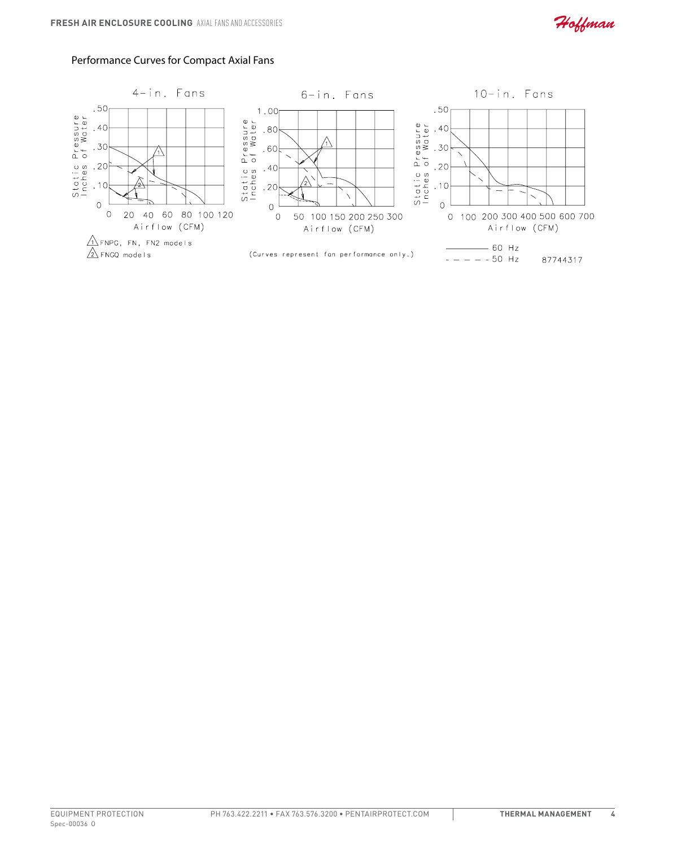

# Performance Curves for Compact Axial Fans

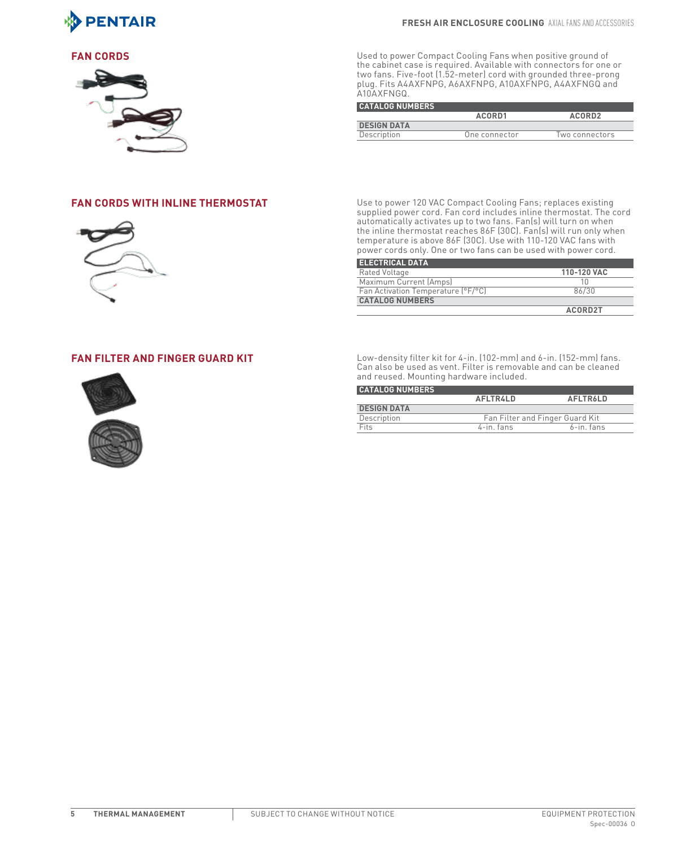



**FAN CORDS EXECUTE:** Used to power Compact Cooling Fans when positive ground of the cabinet case is required. Available with connectors for one or two fans. Five-foot (1.52-meter) cord with grounded three-prong plug. Fits A4AXFNPG, A6AXFNPG, A10AXFNPG, A4AXFNGQ and A10AXFNGQ.

| <b>CATALOG NUMBERS</b> |               |                    |  |  |  |  |  |
|------------------------|---------------|--------------------|--|--|--|--|--|
|                        | ACORD1        | ACORD <sub>2</sub> |  |  |  |  |  |
| <b>DESIGN DATA</b>     |               |                    |  |  |  |  |  |
| Description            | One connector | Two connectors     |  |  |  |  |  |



**FAN CORDS WITH INLINE THERMOSTAT** Use to power 120 VAC Compact Cooling Fans; replaces existing supplied power cord. Fan cord includes inline thermostat. The cord automatically activates up to two fans. Fan(s) will turn on when the inline thermostat reaches 86F (30C). Fan(s) will run only when temperature is above 86F (30C). Use with 110-120 VAC fans with power cords only. One or two fans can be used with power cord.

| <b>ELECTRICAL DATA</b>             |             |
|------------------------------------|-------------|
| Rated Voltage                      | 110-120 VAC |
| Maximum Current (Amps)             | 10          |
| Fan Activation Temperature (°F/°C) | 86/30       |
| <b>CATALOG NUMBERS</b>             |             |
|                                    | ACORD2T     |



**FAN FILTER AND FINGER GUARD KIT** Low-density filter kit for 4-in. (102-mm) and 6-in. (152-mm) fans. Can also be used as vent. Filter is removable and can be cleaned and reused. Mounting hardware included.

| <b>CATALOG NUMBERS</b> |                                 |                 |
|------------------------|---------------------------------|-----------------|
|                        | <b>AFLTRALD</b>                 | <b>AFLTR6LD</b> |
| <b>DESIGN DATA</b>     |                                 |                 |
| Description            | Fan Filter and Finger Guard Kit |                 |
| Fits                   | 4-in, fans                      | $6$ -in. fans   |